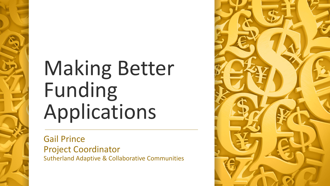# Making Better Funding Applications

Gail Prince Project Coordinator Sutherland Adaptive & Collaborative Communities

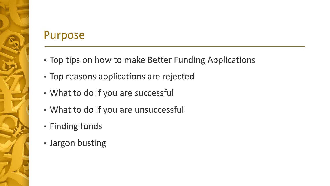# Purpose

- Top tips on how to make Better Funding Applications
- Top reasons applications are rejected
- What to do if you are successful
- What to do if you are unsuccessful
- Finding funds
- Jargon busting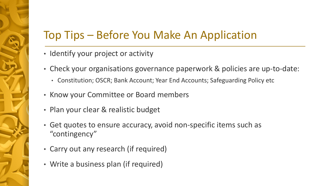# Top Tips – Before You Make An Application

- Identify your project or activity
- Check your organisations governance paperwork & policies are up-to-date:
	- Constitution; OSCR; Bank Account; Year End Accounts; Safeguarding Policy etc
- Know your Committee or Board members
- Plan your clear & realistic budget
- Get quotes to ensure accuracy, avoid non-specific items such as "contingency"
- Carry out any research (if required)
- Write a business plan (if required)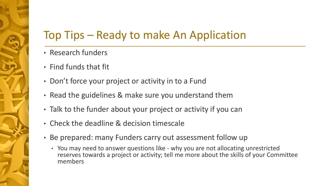# Top Tips – Ready to make An Application

- Research funders
- Find funds that fit
- Don't force your project or activity in to a Fund
- Read the guidelines & make sure you understand them
- Talk to the funder about your project or activity if you can
- Check the deadline & decision timescale
- Be prepared: many Funders carry out assessment follow up
	- You may need to answer questions like why you are not allocating unrestricted reserves towards a project or activity; tell me more about the skills of your Committee members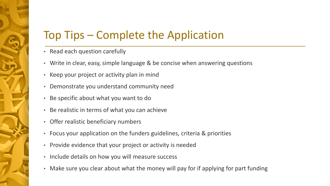# Top Tips – Complete the Application

- Read each question carefully
- Write in clear, easy, simple language & be concise when answering questions
- Keep your project or activity plan in mind
- Demonstrate you understand community need
- Be specific about what you want to do
- Be realistic in terms of what you can achieve
- Offer realistic beneficiary numbers
- Focus your application on the funders guidelines, criteria & priorities
- Provide evidence that your project or activity is needed
- Include details on how you will measure success
- Make sure you clear about what the money will pay for if applying for part funding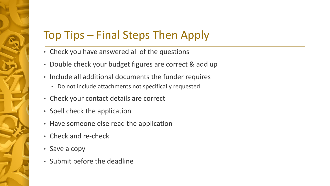# Top Tips – Final Steps Then Apply

- Check you have answered all of the questions
- Double check your budget figures are correct & add up
- Include all additional documents the funder requires
	- Do not include attachments not specifically requested
- Check your contact details are correct
- Spell check the application
- Have someone else read the application
- Check and re-check
- Save a copy
- Submit before the deadline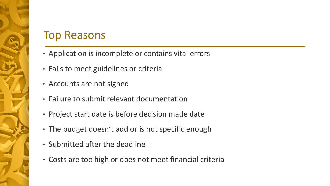#### Top Reasons

- Application is incomplete or contains vital errors
- Fails to meet guidelines or criteria
- Accounts are not signed
- Failure to submit relevant documentation
- Project start date is before decision made date
- The budget doesn't add or is not specific enough
- Submitted after the deadline
- Costs are too high or does not meet financial criteria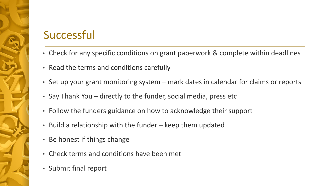# **Successful**

- Check for any specific conditions on grant paperwork & complete within deadlines
- Read the terms and conditions carefully
- Set up your grant monitoring system mark dates in calendar for claims or reports
- Say Thank You directly to the funder, social media, press etc
- Follow the funders guidance on how to acknowledge their support
- Build a relationship with the funder keep them updated
- Be honest if things change
- Check terms and conditions have been met
- Submit final report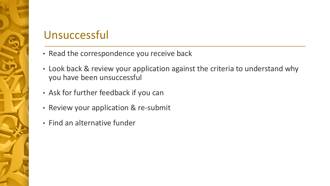# Unsuccessful

- Read the correspondence you receive back
- Look back & review your application against the criteria to understand why you have been unsuccessful
- Ask for further feedback if you can
- Review your application & re-submit
- Find an alternative funder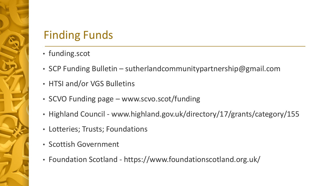# Finding Funds

- funding.scot
- SCP Funding Bulletin sutherlandcommunitypartnership@gmail.com
- HTSI and/or VGS Bulletins
- SCVO Funding page www.scvo.scot/funding
- Highland Council www.highland.gov.uk/directory/17/grants/category/155
- Lotteries; Trusts; Foundations
- Scottish Government
- Foundation Scotland https://www.foundationscotland.org.uk/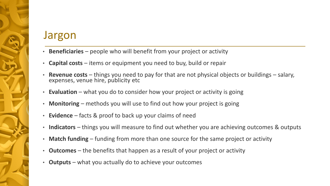#### Jargon

- **Beneficiaries** people who will benefit from your project or activity
- **Capital costs**  items or equipment you need to buy, build or repair
- **Revenue costs**  things you need to pay for that are not physical objects or buildings salary, expenses, venue hire, publicity etc
- **Evaluation** what you do to consider how your project or activity is going
- **Monitoring** methods you will use to find out how your project is going
- **Evidence** facts & proof to back up your claims of need
- **Indicators**  things you will measure to find out whether you are achieving outcomes & outputs
- **Match funding**  funding from more than one source for the same project or activity
- **Outcomes** the benefits that happen as a result of your project or activity
- **Outputs** what you actually do to achieve your outcomes